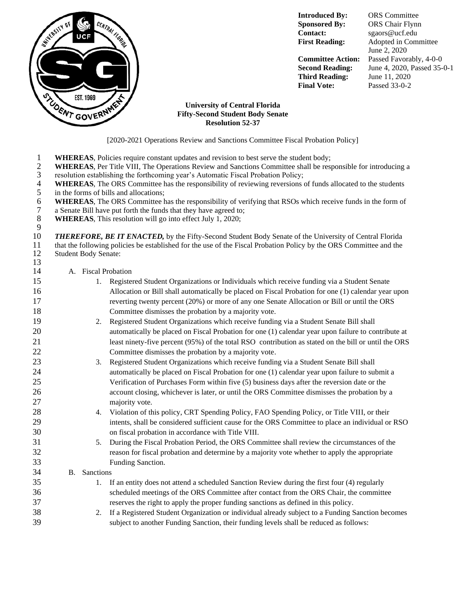

**Introduced By:** ORS Committee **Contact:** sgaors@ucf.edu

**Sponsored By:** ORS Chair Flynn **First Reading:** Adopted in Committee June 2, 2020 **Committee Action:** Passed Favorably, 4-0-0 **Second Reading:** June 4, 2020, Passed 35-0-1

**Third Reading:** June 11, 2020 **Final Vote:** Passed 33-0-2

## **University of Central Florida Fifty-Second Student Body Senate Resolution 52-37**

[2020-2021 Operations Review and Sanctions Committee Fiscal Probation Policy]

1 **WHEREAS**, Policies require constant updates and revision to best serve the student body;

2 **WHEREAS**, Per Title VIII, The Operations Review and Sanctions Committee shall be responsible for introducing a resolution establishing the forthcoming year's Automatic Fiscal Probation Policy;

- 3 resolution establishing the forthcoming year's Automatic Fiscal Probation Policy;<br>4 **WHEREAS**, The ORS Committee has the responsibility of reviewing reversions of
- 4 **WHEREAS**, The ORS Committee has the responsibility of reviewing reversions of funds allocated to the students<br>5 in the forms of bills and allocations;<br>6 **WHEREAS**, The ORS Committee has the responsibility of verifying t in the forms of bills and allocations;
- **6 WHEREAS**, The ORS Committee has the responsibility of verifying that RSOs which receive funds in the form of a Senate Bill have put forth the funds that they have agreed to:
- 7 a Senate Bill have put forth the funds that they have agreed to;<br>8 **WHEREAS**, This resolution will go into effect July 1, 2020;
- 8 **WHEREAS**, This resolution will go into effect July 1, 2020;

 $\frac{9}{10}$ **THEREFORE, BE IT ENACTED,** by the Fifty-Second Student Body Senate of the University of Central Florida 11 that the following policies be established for the use of the Fiscal Probation Policy by the ORS Committee and the 12 Student Body Senate:

## A. Fiscal Probation

13

| 15 |              |    | 1. Registered Student Organizations or Individuals which receive funding via a Student Senate        |  |  |
|----|--------------|----|------------------------------------------------------------------------------------------------------|--|--|
| 16 |              |    | Allocation or Bill shall automatically be placed on Fiscal Probation for one (1) calendar year upon  |  |  |
| 17 |              |    | reverting twenty percent (20%) or more of any one Senate Allocation or Bill or until the ORS         |  |  |
| 18 |              |    | Committee dismisses the probation by a majority vote.                                                |  |  |
| 19 |              |    | 2. Registered Student Organizations which receive funding via a Student Senate Bill shall            |  |  |
| 20 |              |    | automatically be placed on Fiscal Probation for one (1) calendar year upon failure to contribute at  |  |  |
| 21 |              |    | least ninety-five percent (95%) of the total RSO contribution as stated on the bill or until the ORS |  |  |
| 22 |              |    | Committee dismisses the probation by a majority vote.                                                |  |  |
| 23 |              |    | 3. Registered Student Organizations which receive funding via a Student Senate Bill shall            |  |  |
| 24 |              |    | automatically be placed on Fiscal Probation for one (1) calendar year upon failure to submit a       |  |  |
| 25 |              |    | Verification of Purchases Form within five (5) business days after the reversion date or the         |  |  |
| 26 |              |    | account closing, whichever is later, or until the ORS Committee dismisses the probation by a         |  |  |
| 27 |              |    | majority vote.                                                                                       |  |  |
| 28 |              |    | 4. Violation of this policy, CRT Spending Policy, FAO Spending Policy, or Title VIII, or their       |  |  |
| 29 |              |    | intents, shall be considered sufficient cause for the ORS Committee to place an individual or RSO    |  |  |
| 30 |              |    | on fiscal probation in accordance with Title VIII.                                                   |  |  |
| 31 |              |    | 5. During the Fiscal Probation Period, the ORS Committee shall review the circumstances of the       |  |  |
| 32 |              |    | reason for fiscal probation and determine by a majority vote whether to apply the appropriate        |  |  |
| 33 |              |    | Funding Sanction.                                                                                    |  |  |
| 34 | B. Sanctions |    |                                                                                                      |  |  |
| 35 |              |    | 1. If an entity does not attend a scheduled Sanction Review during the first four (4) regularly      |  |  |
| 36 |              |    | scheduled meetings of the ORS Committee after contact from the ORS Chair, the committee              |  |  |
| 37 |              |    | reserves the right to apply the proper funding sanctions as defined in this policy.                  |  |  |
| 38 |              | 2. | If a Registered Student Organization or individual already subject to a Funding Sanction becomes     |  |  |
| 39 |              |    | subject to another Funding Sanction, their funding levels shall be reduced as follows:               |  |  |